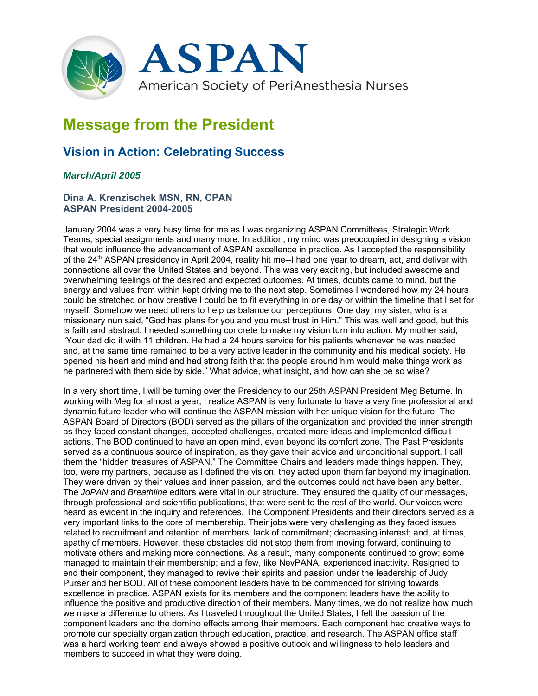

## **Message from the President**

## **Vision in Action: Celebrating Success**

## *March/April 2005*

## **Dina A. Krenzischek MSN, RN, CPAN ASPAN President 2004-2005**

January 2004 was a very busy time for me as I was organizing ASPAN Committees, Strategic Work Teams, special assignments and many more. In addition, my mind was preoccupied in designing a vision that would influence the advancement of ASPAN excellence in practice. As I accepted the responsibility of the 24<sup>th</sup> ASPAN presidency in April 2004, reality hit me--I had one year to dream, act, and deliver with connections all over the United States and beyond. This was very exciting, but included awesome and overwhelming feelings of the desired and expected outcomes. At times, doubts came to mind, but the energy and values from within kept driving me to the next step. Sometimes I wondered how my 24 hours could be stretched or how creative I could be to fit everything in one day or within the timeline that I set for myself. Somehow we need others to help us balance our perceptions. One day, my sister, who is a missionary nun said, "God has plans for you and you must trust in Him." This was well and good, but this is faith and abstract. I needed something concrete to make my vision turn into action. My mother said, "Your dad did it with 11 children. He had a 24 hours service for his patients whenever he was needed and, at the same time remained to be a very active leader in the community and his medical society. He opened his heart and mind and had strong faith that the people around him would make things work as he partnered with them side by side." What advice, what insight, and how can she be so wise?

In a very short time, I will be turning over the Presidency to our 25th ASPAN President Meg Beturne. In working with Meg for almost a year, I realize ASPAN is very fortunate to have a very fine professional and dynamic future leader who will continue the ASPAN mission with her unique vision for the future. The ASPAN Board of Directors (BOD) served as the pillars of the organization and provided the inner strength as they faced constant changes, accepted challenges, created more ideas and implemented difficult actions. The BOD continued to have an open mind, even beyond its comfort zone. The Past Presidents served as a continuous source of inspiration, as they gave their advice and unconditional support. I call them the "hidden treasures of ASPAN." The Committee Chairs and leaders made things happen. They, too, were my partners, because as I defined the vision, they acted upon them far beyond my imagination. They were driven by their values and inner passion, and the outcomes could not have been any better. The *JoPAN* and *Breathline* editors were vital in our structure. They ensured the quality of our messages, through professional and scientific publications, that were sent to the rest of the world. Our voices were heard as evident in the inquiry and references. The Component Presidents and their directors served as a very important links to the core of membership. Their jobs were very challenging as they faced issues related to recruitment and retention of members; lack of commitment; decreasing interest; and, at times, apathy of members. However, these obstacles did not stop them from moving forward, continuing to motivate others and making more connections. As a result, many components continued to grow; some managed to maintain their membership; and a few, like NevPANA, experienced inactivity. Resigned to end their component, they managed to revive their spirits and passion under the leadership of Judy Purser and her BOD. All of these component leaders have to be commended for striving towards excellence in practice. ASPAN exists for its members and the component leaders have the ability to influence the positive and productive direction of their members. Many times, we do not realize how much we make a difference to others. As I traveled throughout the United States, I felt the passion of the component leaders and the domino effects among their members. Each component had creative ways to promote our specialty organization through education, practice, and research. The ASPAN office staff was a hard working team and always showed a positive outlook and willingness to help leaders and members to succeed in what they were doing.